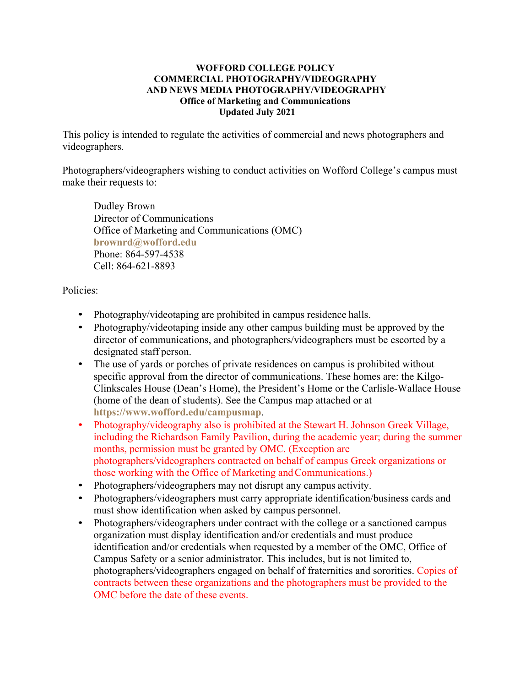## **WOFFORD COLLEGE POLICY COMMERCIAL PHOTOGRAPHY/VIDEOGRAPHY AND NEWS MEDIA PHOTOGRAPHY/VIDEOGRAPHY Office of Marketing and Communications Updated July 2021**

This policy is intended to regulate the activities of commercial and news photographers and videographers.

Photographers/videographers wishing to conduct activities on Wofford College's campus must make their requests to:

Dudley Brown Director of Communications Office of Marketing and Communications (OMC) **[brownrd@wofford.edu](mailto:brownrd@wofford.edu)** Phone: 864-597-4538 Cell: 864-621-8893

## Policies:

- Photography/videotaping are prohibited in campus residence halls.
- Photography/videotaping inside any other campus building must be approved by the director of communications, and photographers/videographers must be escorted by a designated staff person.
- The use of yards or porches of private residences on campus is prohibited without specific approval from the director of communications. These homes are: the Kilgo-Clinkscales House (Dean's Home), the President's Home or the Carlisle-Wallace House (home of the dean of students). See the Campus map attached or at **<https://www.wofford.edu/campusmap>**.
- Photography/videography also is prohibited at the Stewart H. Johnson Greek Village, including the Richardson Family Pavilion, during the academic year; during the summer months, permission must be granted by OMC. (Exception are photographers/videographers contracted on behalf of campus Greek organizations or those working with the Office of Marketing and Communications.)
- Photographers/videographers may not disrupt any campus activity.
- Photographers/videographers must carry appropriate identification/business cards and must show identification when asked by campus personnel.
- Photographers/videographers under contract with the college or a sanctioned campus organization must display identification and/or credentials and must produce identification and/or credentials when requested by a member of the OMC, Office of Campus Safety or a senior administrator. This includes, but is not limited to, photographers/videographers engaged on behalf of fraternities and sororities. Copies of contracts between these organizations and the photographers must be provided to the OMC before the date of these events.